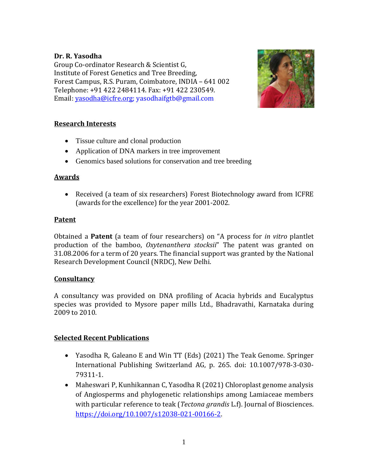### **Dr. R. Yasodha**

Group Co-ordinator Research & Scientist G, Institute of Forest Genetics and Tree Breeding, Forest Campus, R.S. Puram, Coimbatore, INDIA – 641 002 Telephone: +91 422 2484114. Fax: +91 422 230549. Email: [yasodha@icfre.org;](mailto:yasodha@icfre.org) yasodhaifgtb@gmail.com



### **Research Interests**

- Tissue culture and clonal production
- Application of DNA markers in tree improvement
- Genomics based solutions for conservation and tree breeding

## **Awards**

• Received (a team of six researchers) Forest Biotechnology award from ICFRE (awards for the excellence) for the year 2001-2002.

### **Patent**

Obtained a **Patent** (a team of four researchers) on "A process for *in vitro* plantlet production of the bamboo, *Oxytenanthera stocksii*" The patent was granted on 31.08.2006 for a term of 20 years. The financial support was granted by the National Research Development Council (NRDC), New Delhi.

# **Consultancy**

A consultancy was provided on DNA profiling of Acacia hybrids and Eucalyptus species was provided to Mysore paper mills Ltd., Bhadravathi, Karnataka during 2009 to 2010.

# **Selected Recent Publications**

- Yasodha R, Galeano E and Win TT (Eds) (2021) The Teak Genome. Springer International Publishing Switzerland AG, p. 265. doi: 10.1007/978-3-030- 79311-1.
- Maheswari P, Kunhikannan C, Yasodha R (2021) Chloroplast genome analysis of Angiosperms and phylogenetic relationships among Lamiaceae members with particular reference to teak (*Tectona grandis* L.f). Journal of Biosciences. [https://doi.org/10.1007/s12038-021-00166-2.](https://doi.org/10.1007/s12038-021-00166-2)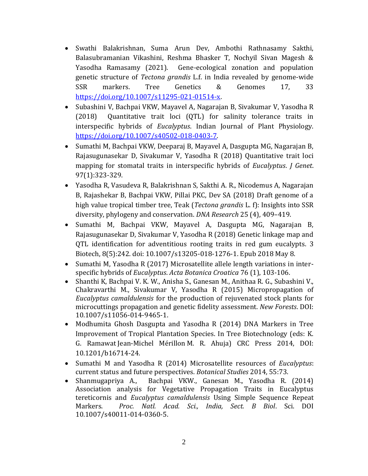- Swathi Balakrishnan, Suma Arun Dev, Ambothi Rathnasamy Sakthi, Balasubramanian Vikashini, Reshma Bhasker T, Nochyil Sivan Magesh & Yasodha Ramasamy (2021). Gene-ecological zonation and population genetic structure of *Tectona grandis* L.f. in India revealed by genome-wide SSR markers. Tree Genetics & Genomes 17, 33 [https://doi.org/10.1007/s11295-021-01514-x.](https://doi.org/10.1007/s11295-021-01514-x)
- Subashini V, Bachpai VKW, Mayavel A, Nagarajan B, Sivakumar V, Yasodha R (2018) Quantitative trait loci (QTL) for salinity tolerance traits in interspecific hybrids of *Eucalyptus*. Indian Journal of Plant Physiology. [https://doi.org/10.1007/s40502-018-0403-7.](https://doi.org/10.1007/s40502-018-0403-7)
- Sumathi M, Bachpai VKW, Deeparaj B, Mayavel A, Dasgupta MG, Nagarajan B, Rajasugunasekar D, Sivakumar V, Yasodha R (2018) Quantitative trait loci mapping for stomatal traits in interspecific hybrids of *Eucalyptus*. *J Genet*. 97(1):323-329.
- Yasodha R, Vasudeva R, Balakrishnan S, Sakthi A. R., Nicodemus A, Nagarajan B, Rajashekar B, Bachpai VKW, Pillai PKC, Dev SA (2018) Draft genome of a high value tropical timber tree, Teak (*Tectona grandis* L. f): Insights into SSR diversity, phylogeny and conservation. *DNA Research* 25 (4), 409–419.
- Sumathi M, Bachpai VKW, Mayavel A, Dasgupta MG, Nagarajan B, Rajasugunasekar D, Sivakumar V, Yasodha R (2018) Genetic linkage map and QTL identification for adventitious rooting traits in red gum eucalypts. 3 Biotech, 8(5):242. doi: 10.1007/s13205-018-1276-1. Epub 2018 May 8.
- Sumathi M, Yasodha R (2017) Microsatellite allele length variations in interspecific hybrids of *Eucalyptus*. *Acta Botanica Croatica* 76 (1), 103-106.
- Shanthi K, Bachpai V. K. W., Anisha S., Ganesan M., Anithaa R. G., Subashini V., Chakravarthi M., Sivakumar V, Yasodha R (2015) Micropropagation of *Eucalyptus camaldulensis* for the production of rejuvenated stock plants for microcuttings propagation and genetic fidelity assessment. *New Forests*. DOI: 10.1007/s11056-014-9465-1.
- Modhumita Ghosh Dasgupta and Yasodha R (2014) DNA Markers in Tree Improvement of Tropical Plantation Species. In Tree Biotechnology (eds: K. G. Ramawat Jean-Michel Mérillon M. R. Ahuja) CRC Press 2014, DOI: 10.1201/b16714-24.
- Sumathi M and Yasodha R (2014) Microsatellite resources of *Eucalyptus*: current status and future perspectives. *Botanical Studies* 2014, 55:73.
- Shanmugapriya A., Bachpai VKW., Ganesan M., Yasodha R. (2014) Association analysis for Vegetative Propagation Traits in Eucalyptus tereticornis and *Eucalyptus camaldulensis* Using Simple Sequence Repeat Markers. *Proc. Natl. Acad. Sci., India, Sect. B Biol*. Sci. DOI 10.1007/s40011-014-0360-5.